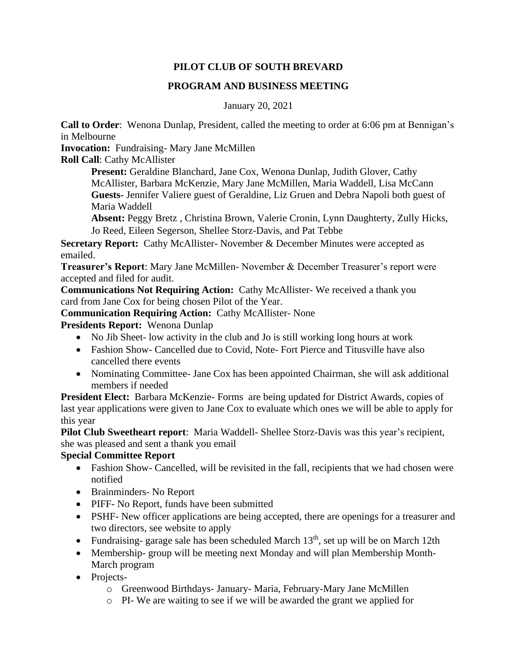#### **PILOT CLUB OF SOUTH BREVARD**

#### **PROGRAM AND BUSINESS MEETING**

January 20, 2021

**Call to Order**: Wenona Dunlap, President, called the meeting to order at 6:06 pm at Bennigan's in Melbourne

**Invocation:** Fundraising- Mary Jane McMillen

**Roll Call**: Cathy McAllister

**Present:** Geraldine Blanchard, Jane Cox, Wenona Dunlap, Judith Glover, Cathy McAllister, Barbara McKenzie, Mary Jane McMillen, Maria Waddell, Lisa McCann **Guests-** Jennifer Valiere guest of Geraldine, Liz Gruen and Debra Napoli both guest of Maria Waddell

**Absent:** Peggy Bretz , Christina Brown, Valerie Cronin, Lynn Daughterty, Zully Hicks, Jo Reed, Eileen Segerson, Shellee Storz-Davis, and Pat Tebbe

**Secretary Report:** Cathy McAllister- November & December Minutes were accepted as emailed.

**Treasurer's Report**: Mary Jane McMillen- November & December Treasurer's report were accepted and filed for audit.

**Communications Not Requiring Action:** Cathy McAllister- We received a thank you card from Jane Cox for being chosen Pilot of the Year.

**Communication Requiring Action:** Cathy McAllister- None

**Presidents Report:** Wenona Dunlap

- No Jib Sheet- low activity in the club and Jo is still working long hours at work
- Fashion Show- Cancelled due to Covid, Note-Fort Pierce and Titusville have also cancelled there events
- Nominating Committee- Jane Cox has been appointed Chairman, she will ask additional members if needed

**President Elect:** Barbara McKenzie- Forms are being updated for District Awards, copies of last year applications were given to Jane Cox to evaluate which ones we will be able to apply for this year

**Pilot Club Sweetheart report**: Maria Waddell- Shellee Storz-Davis was this year's recipient, she was pleased and sent a thank you email

### **Special Committee Report**

- Fashion Show- Cancelled, will be revisited in the fall, recipients that we had chosen were notified
- Brainminders- No Report
- PIFF- No Report, funds have been submitted
- PSHF- New officer applications are being accepted, there are openings for a treasurer and two directors, see website to apply
- Fundraising- garage sale has been scheduled March  $13<sup>th</sup>$ , set up will be on March 12th
- Membership- group will be meeting next Monday and will plan Membership Month-March program
- Projects
	- o Greenwood Birthdays- January- Maria, February-Mary Jane McMillen
	- o PI- We are waiting to see if we will be awarded the grant we applied for